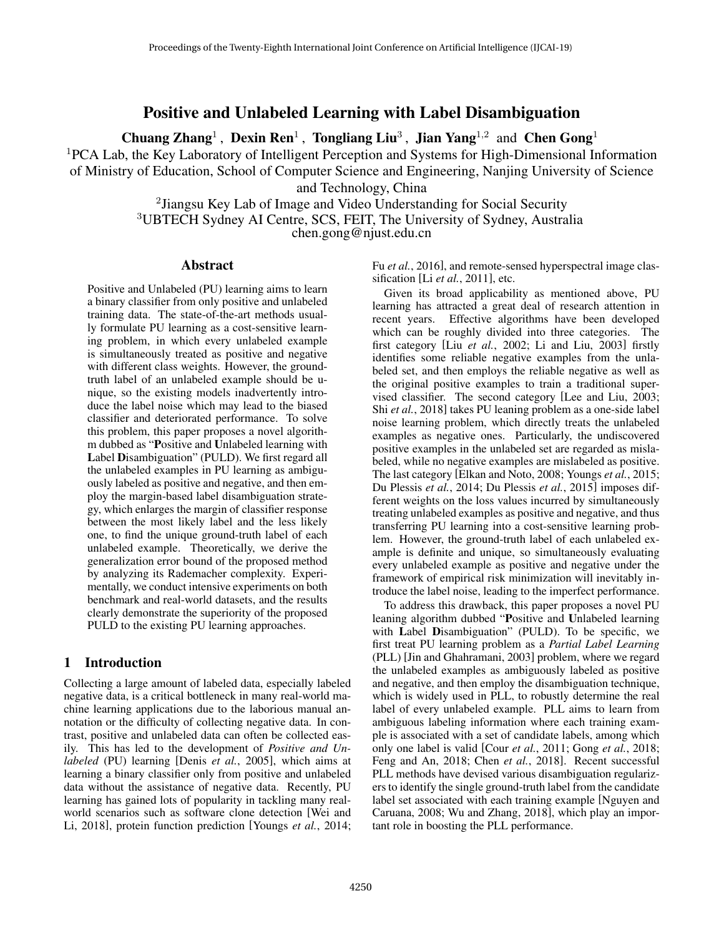# Positive and Unlabeled Learning with Label Disambiguation

Chuang Zhang<sup>1</sup>, Dexin Ren<sup>1</sup>, Tongliang Liu<sup>3</sup>, Jian Yang<sup>1,2</sup> and Chen Gong<sup>1</sup>

<sup>1</sup>PCA Lab, the Key Laboratory of Intelligent Perception and Systems for High-Dimensional Information

of Ministry of Education, School of Computer Science and Engineering, Nanjing University of Science

and Technology, China

<sup>2</sup> Jiangsu Key Lab of Image and Video Understanding for Social Security <sup>3</sup>UBTECH Sydney AI Centre, SCS, FEIT, The University of Sydney, Australia chen.gong@njust.edu.cn

## Abstract

Positive and Unlabeled (PU) learning aims to learn a binary classifier from only positive and unlabeled training data. The state-of-the-art methods usually formulate PU learning as a cost-sensitive learning problem, in which every unlabeled example is simultaneously treated as positive and negative with different class weights. However, the groundtruth label of an unlabeled example should be unique, so the existing models inadvertently introduce the label noise which may lead to the biased classifier and deteriorated performance. To solve this problem, this paper proposes a novel algorithm dubbed as "Positive and Unlabeled learning with Label Disambiguation" (PULD). We first regard all the unlabeled examples in PU learning as ambiguously labeled as positive and negative, and then employ the margin-based label disambiguation strategy, which enlarges the margin of classifier response between the most likely label and the less likely one, to find the unique ground-truth label of each unlabeled example. Theoretically, we derive the generalization error bound of the proposed method by analyzing its Rademacher complexity. Experimentally, we conduct intensive experiments on both benchmark and real-world datasets, and the results clearly demonstrate the superiority of the proposed PULD to the existing PU learning approaches.

# 1 Introduction

Collecting a large amount of labeled data, especially labeled negative data, is a critical bottleneck in many real-world machine learning applications due to the laborious manual annotation or the difficulty of collecting negative data. In contrast, positive and unlabeled data can often be collected easily. This has led to the development of *Positive and Unlabeled* (PU) learning [Denis *et al.*, 2005], which aims at learning a binary classifier only from positive and unlabeled data without the assistance of negative data. Recently, PU learning has gained lots of popularity in tackling many realworld scenarios such as software clone detection [Wei and Li, 2018], protein function prediction [Youngs *et al.*, 2014; Fu *et al.*, 2016], and remote-sensed hyperspectral image classification [Li *et al.*, 2011], etc.

Given its broad applicability as mentioned above, PU learning has attracted a great deal of research attention in recent years. Effective algorithms have been developed which can be roughly divided into three categories. The first category [Liu *et al.*, 2002; Li and Liu, 2003] firstly identifies some reliable negative examples from the unlabeled set, and then employs the reliable negative as well as the original positive examples to train a traditional supervised classifier. The second category [Lee and Liu, 2003; Shi *et al.*, 2018] takes PU leaning problem as a one-side label noise learning problem, which directly treats the unlabeled examples as negative ones. Particularly, the undiscovered positive examples in the unlabeled set are regarded as mislabeled, while no negative examples are mislabeled as positive. The last category [Elkan and Noto, 2008; Youngs *et al.*, 2015; Du Plessis *et al.*, 2014; Du Plessis *et al.*, 2015] imposes different weights on the loss values incurred by simultaneously treating unlabeled examples as positive and negative, and thus transferring PU learning into a cost-sensitive learning problem. However, the ground-truth label of each unlabeled example is definite and unique, so simultaneously evaluating every unlabeled example as positive and negative under the framework of empirical risk minimization will inevitably introduce the label noise, leading to the imperfect performance.

To address this drawback, this paper proposes a novel PU leaning algorithm dubbed "Positive and Unlabeled learning with Label Disambiguation" (PULD). To be specific, we first treat PU learning problem as a *Partial Label Learning* (PLL) [Jin and Ghahramani, 2003] problem, where we regard the unlabeled examples as ambiguously labeled as positive and negative, and then employ the disambiguation technique, which is widely used in PLL, to robustly determine the real label of every unlabeled example. PLL aims to learn from ambiguous labeling information where each training example is associated with a set of candidate labels, among which only one label is valid [Cour *et al.*, 2011; Gong *et al.*, 2018; Feng and An, 2018; Chen *et al.*, 2018]. Recent successful PLL methods have devised various disambiguation regularizers to identify the single ground-truth label from the candidate label set associated with each training example [Nguyen and Caruana, 2008; Wu and Zhang, 2018], which play an important role in boosting the PLL performance.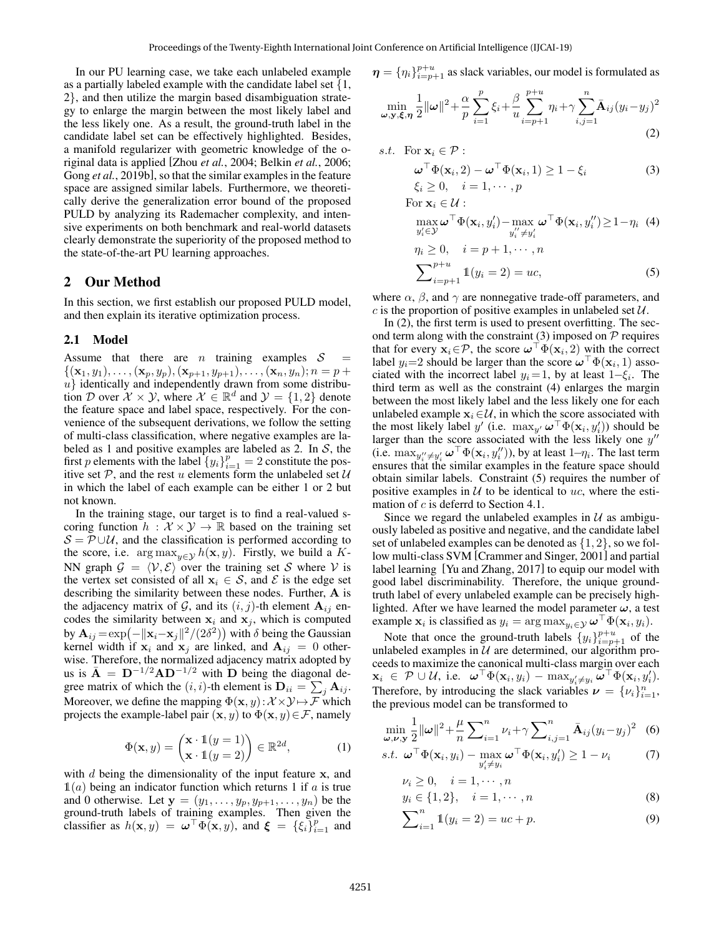In our PU learning case, we take each unlabeled example as a partially labeled example with the candidate label set {1, 2}, and then utilize the margin based disambiguation strategy to enlarge the margin between the most likely label and the less likely one. As a result, the ground-truth label in the candidate label set can be effectively highlighted. Besides, a manifold regularizer with geometric knowledge of the original data is applied [Zhou *et al.*, 2004; Belkin *et al.*, 2006; Gong *et al.*, 2019b], so that the similar examples in the feature space are assigned similar labels. Furthermore, we theoretically derive the generalization error bound of the proposed PULD by analyzing its Rademacher complexity, and intensive experiments on both benchmark and real-world datasets clearly demonstrate the superiority of the proposed method to the state-of-the-art PU learning approaches.

## 2 Our Method

In this section, we first establish our proposed PULD model, and then explain its iterative optimization process.

#### 2.1 Model

Assume that there are *n* training examples  $S$  $\{(\mathbf{x}_1, y_1), \ldots, (\mathbf{x}_p, y_p),(\mathbf{x}_{p+1}, y_{p+1}), \ldots, (\mathbf{x}_n, y_n); n = p + \}$  $u$ } identically and independently drawn from some distribution D over  $\mathcal{X} \times \mathcal{Y}$ , where  $\mathcal{X} \in \mathbb{R}^d$  and  $\mathcal{Y} = \{1, 2\}$  denote the feature space and label space, respectively. For the convenience of the subsequent derivations, we follow the setting of multi-class classification, where negative examples are labeled as 1 and positive examples are labeled as 2. In  $S$ , the first p elements with the label  $\{y_i\}_{i=1}^p = 2$  constitute the positive set  $P$ , and the rest u elements form the unlabeled set  $U$ in which the label of each example can be either 1 or 2 but not known.

In the training stage, our target is to find a real-valued scoring function  $h : \mathcal{X} \times \mathcal{Y} \rightarrow \mathbb{R}$  based on the training set  $S = \mathcal{P} \cup \mathcal{U}$ , and the classification is performed according to the score, i.e. arg  $\max_{y \in \mathcal{Y}} h(\mathbf{x}, y)$ . Firstly, we build a K-NN graph  $\mathcal{G} = \langle \mathcal{V}, \mathcal{E} \rangle$  over the training set S where V is the vertex set consisted of all  $x_i \in S$ , and  $\mathcal E$  is the edge set describing the similarity between these nodes. Further, A is the adjacency matrix of G, and its  $(i, j)$ -th element  $A_{ij}$  encodes the similarity between  $x_i$  and  $x_j$ , which is computed by  $\mathbf{A}_{ij} = \exp(-\|\mathbf{x}_i - \mathbf{x}_j\|^2 / (2\delta^2))$  with  $\delta$  being the Gaussian kernel width if  $x_i$  and  $x_j$  are linked, and  $A_{ij} = 0$  otherwise. Therefore, the normalized adjacency matrix adopted by us is  $\bar{A} = D^{-1/2}AD^{-1/2}$  with D being the diagonal degree matrix of which the  $(i, i)$ -th element is  $\mathbf{D}_{ii} = \sum_j \mathbf{A}_{ij}$ . Moreover, we define the mapping  $\Phi(\mathbf{x}, y): \mathcal{X} \times \mathcal{Y} \mapsto \mathcal{F}$  which projects the example-label pair  $(x, y)$  to  $\Phi(x, y) \in \mathcal{F}$ , namely

$$
\Phi(\mathbf{x}, y) = \begin{pmatrix} \mathbf{x} \cdot \mathbb{1}(y = 1) \\ \mathbf{x} \cdot \mathbb{1}(y = 2) \end{pmatrix} \in \mathbb{R}^{2d},
$$
 (1)

with  $d$  being the dimensionality of the input feature  $x$ , and  $\mathbb{1}(a)$  being an indicator function which returns 1 if a is true and 0 otherwise. Let  $y = (y_1, \ldots, y_p, y_{p+1}, \ldots, y_n)$  be the ground-truth labels of training examples. Then given the classifier as  $h(\mathbf{x}, y) = \boldsymbol{\omega}^\top \Phi(\mathbf{x}, y)$ , and  $\boldsymbol{\xi} = {\xi_i}_{i=1}^p$  and  $\boldsymbol{\eta} = \{\eta_i\}_{i=p+1}^{p+u}$  as slack variables, our model is formulated as

$$
\min_{\omega, \mathbf{y}, \xi, \eta} \frac{1}{2} ||\omega||^2 + \frac{\alpha}{p} \sum_{i=1}^p \xi_i + \frac{\beta}{u} \sum_{i=p+1}^{p+u} \eta_i + \gamma \sum_{i,j=1}^n \bar{\mathbf{A}}_{ij} (y_i - y_j)^2
$$
\n(2)

s.t. For 
$$
\mathbf{x}_i \in \mathcal{P}
$$
:  
\n
$$
\boldsymbol{\omega}^\top \Phi(\mathbf{x}_i, 2) - \boldsymbol{\omega}^\top \Phi(\mathbf{x}_i, 1) \ge 1 - \xi_i
$$
\n
$$
\xi_i \ge 0, \quad i = 1, \dots, p
$$
\n(3)

For 
$$
\mathbf{x}_i \in \mathcal{U}
$$
:  
\n
$$
\max_{y'_i \in \mathcal{Y}} \omega^{\top} \Phi(\mathbf{x}_i, y'_i) - \max_{y''_i \neq y'_i} \omega^{\top} \Phi(\mathbf{x}_i, y''_i) \ge 1 - \eta_i \quad (4)
$$
\n
$$
\eta_i \ge 0, \quad i = p + 1, \cdots, n
$$
\n
$$
\sum_{i=p+1}^{p+u} \mathbb{1}(y_i = 2) = uc,
$$
\n(5)

where  $\alpha$ ,  $\beta$ , and  $\gamma$  are nonnegative trade-off parameters, and c is the proportion of positive examples in unlabeled set  $U$ .

In (2), the first term is used to present overfitting. The second term along with the constraint  $(3)$  imposed on  $P$  requires that for every  $\mathbf{x}_i \in \mathcal{P}$ , the score  $\boldsymbol{\omega}^\top \Phi(\mathbf{x}_i, 2)$  with the correct label  $y_i=2$  should be larger than the score  $\boldsymbol{\omega}^\top \Phi(\mathbf{x}_i, 1)$  associated with the incorrect label  $y_i = 1$ , by at least  $1 - \xi_i$ . The third term as well as the constraint (4) enlarges the margin between the most likely label and the less likely one for each unlabeled example  $x_i \in \mathcal{U}$ , in which the score associated with the most likely label y' (i.e.  $\max_{y'} \boldsymbol{\omega}^\top \Phi(\mathbf{x}_i, y'_i)$ ) should be larger than the score associated with the less likely one  $y''$ (i.e.  $\max_{y''_i \neq y'_i} \boldsymbol{\omega}^\top \Phi(\mathbf{x}_i, y''_i)$ ), by at least  $1-\eta_i$ . The last term ensures that the similar examples in the feature space should obtain similar labels. Constraint (5) requires the number of positive examples in  $U$  to be identical to uc, where the estimation of c is deferrd to Section 4.1.

Since we regard the unlabeled examples in  $U$  as ambiguously labeled as positive and negative, and the candidate label set of unlabeled examples can be denoted as  $\{1, 2\}$ , so we follow multi-class SVM [Crammer and Singer, 2001] and partial label learning [Yu and Zhang, 2017] to equip our model with good label discriminability. Therefore, the unique groundtruth label of every unlabeled example can be precisely highlighted. After we have learned the model parameter  $\omega$ , a test example  $\mathbf{x}_i$  is classified as  $y_i = \arg \max_{y_i \in \mathcal{Y}} \boldsymbol{\omega}^\top \Phi(\mathbf{x}_i, y_i)$ .

Note that once the ground-truth labels  $\{y_i\}_{i=p+1}^{p+u}$  of the unlabeled examples in  $U$  are determined, our algorithm proceeds to maximize the canonical multi-class margin over each  $\mathbf{x}_i \in \mathcal{P} \cup \mathcal{U}$ , i.e.  $\boldsymbol{\omega}^\top \Phi(\mathbf{x}_i, y_i) - \max_{y'_i \neq y_i} \boldsymbol{\omega}^\top \Phi(\mathbf{x}_i, y'_i)$ . Therefore, by introducing the slack variables  $\nu = {\nu_i}_{i=1}^n$ , the previous model can be transformed to

$$
\min_{\omega,\nu,y} \frac{1}{2} ||\omega||^2 + \frac{\mu}{n} \sum_{i=1}^n \nu_i + \gamma \sum_{i,j=1}^n \bar{\mathbf{A}}_{ij} (y_i - y_j)^2
$$
 (6)

$$
s.t. \boldsymbol{\omega}^\top \Phi(\mathbf{x}_i, y_i) - \max_{y'_i \neq y_i} \boldsymbol{\omega}^\top \Phi(\mathbf{x}_i, y'_i) \ge 1 - \nu_i \tag{7}
$$

$$
\nu_i \ge 0, \quad i = 1, \cdots, n \n y_i \in \{1, 2\}, \quad i = 1, \cdots, n
$$
\n(8)

$$
\sum_{i=1}^{n} \mathbb{1}(y_i = 2) = uc + p.
$$
 (9)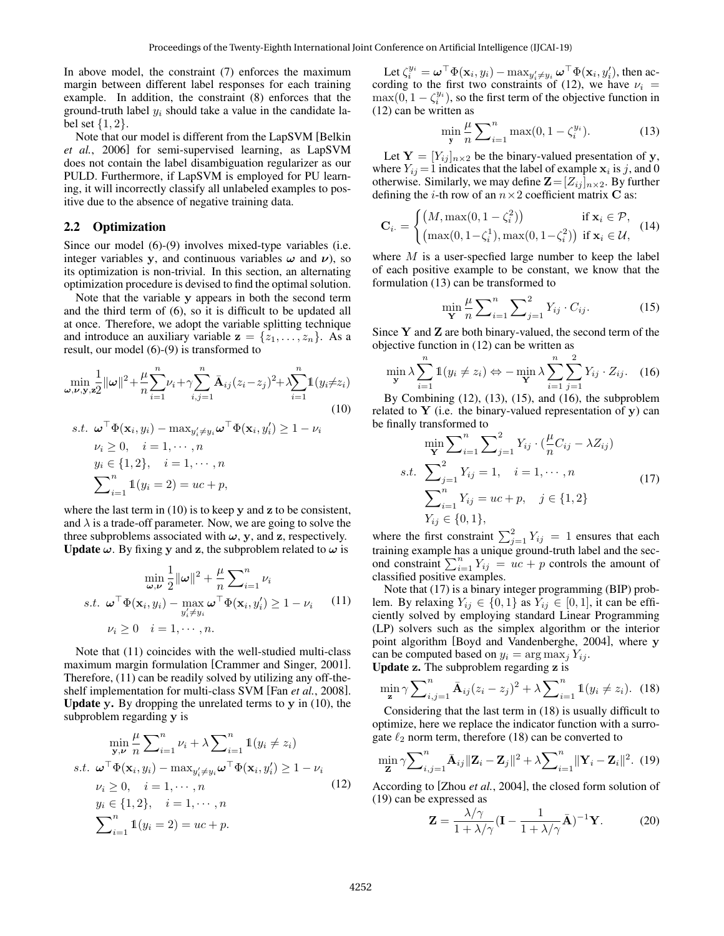In above model, the constraint (7) enforces the maximum margin between different label responses for each training example. In addition, the constraint (8) enforces that the ground-truth label  $y_i$  should take a value in the candidate label set  $\{1, 2\}$ .

Note that our model is different from the LapSVM [Belkin *et al.*, 2006] for semi-supervised learning, as LapSVM does not contain the label disambiguation regularizer as our PULD. Furthermore, if LapSVM is employed for PU learning, it will incorrectly classify all unlabeled examples to positive due to the absence of negative training data.

#### 2.2 Optimization

Since our model (6)-(9) involves mixed-type variables (i.e. integer variables y, and continuous variables  $\omega$  and  $\nu$ ), so its optimization is non-trivial. In this section, an alternating optimization procedure is devised to find the optimal solution.

Note that the variable y appears in both the second term and the third term of (6), so it is difficult to be updated all at once. Therefore, we adopt the variable splitting technique and introduce an auxiliary variable  $z = \{z_1, \ldots, z_n\}$ . As a result, our model (6)-(9) is transformed to

$$
\min_{\boldsymbol{\omega}, \boldsymbol{\nu}, \mathbf{y}, \mathbf{z}} \frac{1}{2} ||\boldsymbol{\omega}||^2 + \frac{\mu}{n} \sum_{i=1}^n \nu_i + \gamma \sum_{i,j=1}^n \bar{\mathbf{A}}_{ij} (z_i - z_j)^2 + \lambda \sum_{i=1}^n \mathbb{1} (y_i \neq z_i)
$$
\n
$$
\text{s.t. } \boldsymbol{\omega}^\top \Phi(\mathbf{x}_i, y_i) - \max_{y'_i \neq y_i} \boldsymbol{\omega}^\top \Phi(\mathbf{x}_i, y'_i) \geq 1 - \nu_i
$$
\n
$$
\nu_i \geq 0, \quad i = 1, \cdots, n
$$
\n
$$
y_i \in \{1, 2\}, \quad i = 1, \cdots, n
$$
\n
$$
\sum_{i=1}^n \mathbb{1} (y_i = 2) = uc + p,
$$

where the last term in (10) is to keep y and z to be consistent, and  $\lambda$  is a trade-off parameter. Now, we are going to solve the three subproblems associated with  $\omega$ , y, and z, respectively. **Update**  $\omega$ . By fixing y and z, the subproblem related to  $\omega$  is

$$
\min_{\omega,\nu} \frac{1}{2} ||\omega||^2 + \frac{\mu}{n} \sum_{i=1}^n \nu_i
$$
  
s.t.  $\omega^{\top} \Phi(\mathbf{x}_i, y_i) - \max_{y'_i \neq y_i} \omega^{\top} \Phi(\mathbf{x}_i, y'_i) \ge 1 - \nu_i$  (11)  
 $\nu_i \ge 0$   $i = 1, \dots, n$ .

Note that (11) coincides with the well-studied multi-class maximum margin formulation [Crammer and Singer, 2001]. Therefore, (11) can be readily solved by utilizing any off-theshelf implementation for multi-class SVM [Fan *et al.*, 2008]. **Update y.** By dropping the unrelated terms to  $y$  in (10), the subproblem regarding y is

$$
\min_{\mathbf{y}, \mathbf{\nu}} \frac{\mu}{n} \sum_{i=1}^{n} \nu_i + \lambda \sum_{i=1}^{n} \mathbb{1}(y_i \neq z_i)
$$
\ns.t. 
$$
\boldsymbol{\omega}^\top \Phi(\mathbf{x}_i, y_i) - \max_{y'_i \neq y_i} \boldsymbol{\omega}^\top \Phi(\mathbf{x}_i, y'_i) \geq 1 - \nu_i
$$
\n
$$
\nu_i \geq 0, \quad i = 1, \cdots, n
$$
\n
$$
y_i \in \{1, 2\}, \quad i = 1, \cdots, n
$$
\n
$$
\sum_{i=1}^{n} \mathbb{1}(y_i = 2) = uc + p.
$$
\n(12)

Let  $\zeta_i^{y_i} = \boldsymbol{\omega}^\top \Phi(\mathbf{x}_i, y_i) - \max_{y'_i \neq y_i} \boldsymbol{\omega}^\top \Phi(\mathbf{x}_i, y'_i)$ , then according to the first two constraints of (12), we have  $\nu_i$  =  $\max(0, 1 - \zeta_i^{y_i})$ , so the first term of the objective function in (12) can be written as

$$
\min_{\mathbf{y}} \frac{\mu}{n} \sum_{i=1}^{n} \max(0, 1 - \zeta_i^{y_i}).
$$
 (13)

Let  $Y = [Y_{ij}]_{n \times 2}$  be the binary-valued presentation of y, where  $Y_{ij} = 1$  indicates that the label of example  $x_i$  is j, and 0 otherwise. Similarly, we may define  $\mathbf{Z}=[Z_{ij}]_{n\times 2}$ . By further defining the *i*-th row of an  $n \times 2$  coefficient matrix **C** as:

$$
\mathbf{C}_{i \cdot} = \begin{cases} \left(M, \max(0, 1 - \zeta_i^2)\right) & \text{if } \mathbf{x}_i \in \mathcal{P},\\ \left(\max(0, 1 - \zeta_i^1), \max(0, 1 - \zeta_i^2)\right) & \text{if } \mathbf{x}_i \in \mathcal{U}, \end{cases}
$$
 (14)

where  $M$  is a user-specfied large number to keep the label of each positive example to be constant, we know that the formulation (13) can be transformed to

$$
\min_{\mathbf{Y}} \frac{\mu}{n} \sum_{i=1}^{n} \sum_{j=1}^{2} Y_{ij} \cdot C_{ij}.
$$
 (15)

Since  $Y$  and  $Z$  are both binary-valued, the second term of the objective function in (12) can be written as

$$
\min_{\mathbf{y}} \lambda \sum_{i=1}^{n} \mathbb{1}(y_i \neq z_i) \Leftrightarrow -\min_{\mathbf{Y}} \lambda \sum_{i=1}^{n} \sum_{j=1}^{2} Y_{ij} \cdot Z_{ij}.
$$
 (16)

By Combining  $(12)$ ,  $(13)$ ,  $(15)$ , and  $(16)$ , the subproblem related to  $Y$  (i.e. the binary-valued representation of y) can be finally transformed to

$$
\min_{\mathbf{Y}} \sum_{i=1}^{n} \sum_{j=1}^{2} Y_{ij} \cdot (\frac{\mu}{n} C_{ij} - \lambda Z_{ij})
$$
  
s.t. 
$$
\sum_{j=1}^{2} Y_{ij} = 1, \quad i = 1, \dots, n
$$

$$
\sum_{i=1}^{n} Y_{ij} = uc + p, \quad j \in \{1, 2\}
$$

$$
Y_{ij} \in \{0, 1\},
$$
\n(17)

where the first constraint  $\sum_{j=1}^{2} Y_{ij} = 1$  ensures that each training example has a unique ground-truth label and the second constraint  $\sum_{i=1}^{n} Y_{ij} = uc + p$  controls the amount of classified positive examples.

Note that (17) is a binary integer programming (BIP) problem. By relaxing  $Y_{ij} \in \{0, 1\}$  as  $Y_{ij} \in [0, 1]$ , it can be efficiently solved by employing standard Linear Programming (LP) solvers such as the simplex algorithm or the interior point algorithm [Boyd and Vandenberghe, 2004], where y can be computed based on  $y_i = \arg \max_j Y_{ij}$ . Update z. The subproblem regarding z is

$$
\min_{\mathbf{z}} \gamma \sum_{i,j=1}^{n} \bar{\mathbf{A}}_{ij} (z_i - z_j)^2 + \lambda \sum_{i=1}^{n} \mathbb{1}(y_i \neq z_i). \tag{18}
$$

Considering that the last term in (18) is usually difficult to optimize, here we replace the indicator function with a surrogate  $\ell_2$  norm term, therefore (18) can be converted to

$$
\min_{\mathbf{Z}} \gamma \sum_{i,j=1}^{n} \bar{\mathbf{A}}_{ij} \|\mathbf{Z}_i - \mathbf{Z}_j\|^2 + \lambda \sum_{i=1}^{n} \|\mathbf{Y}_i - \mathbf{Z}_i\|^2. (19)
$$

According to [Zhou *et al.*, 2004], the closed form solution of (19) can be expressed as

$$
\mathbf{Z} = \frac{\lambda/\gamma}{1 + \lambda/\gamma} (\mathbf{I} - \frac{1}{1 + \lambda/\gamma} \bar{\mathbf{A}})^{-1} \mathbf{Y}.
$$
 (20)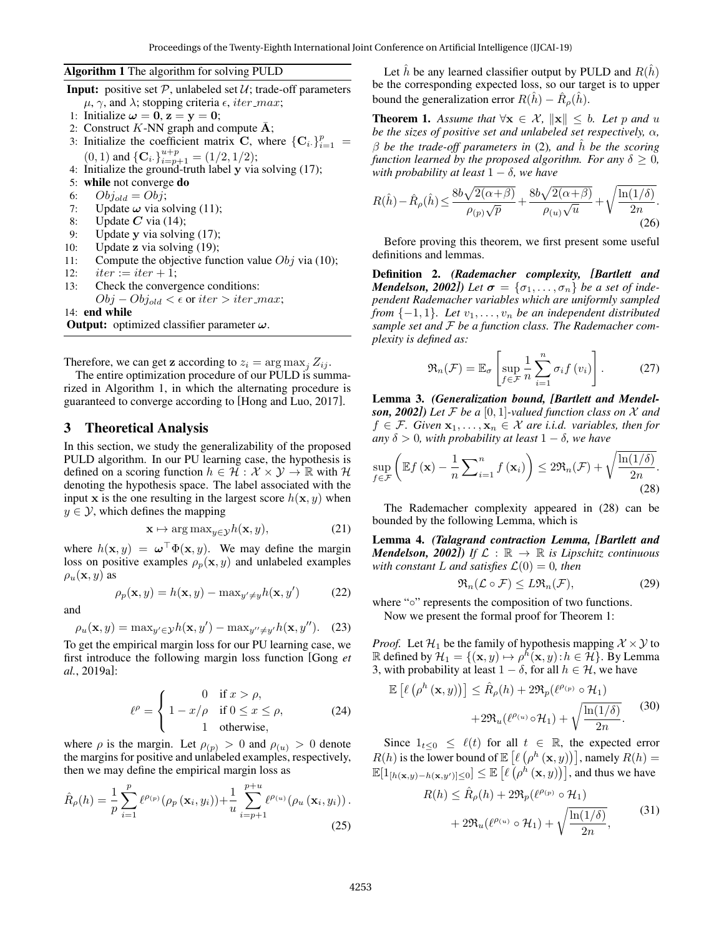#### Algorithm 1 The algorithm for solving PULD

- **Input:** positive set  $P$ , unlabeled set  $U$ ; trade-off parameters  $\mu$ ,  $\gamma$ , and  $\lambda$ ; stopping criteria  $\epsilon$ , *iter\_max*;
- 1: Initialize  $\omega = 0$ ,  $z = y = 0$ ;
- 2: Construct K-NN graph and compute  $\bar{A}$ ;
- 3: Initialize the coefficient matrix C, where  $\{C_i\}_{i=1}^p =$  $(0, 1)$  and  $\{C_i\}_{i=p+1}^{u+p} = (1/2, 1/2);$
- 4: Initialize the ground-truth label y via solving (17);
- 5: while not converge do
- 6:  $Obj_{old} = Obj;$
- 7: Update  $\omega$  via solving (11);
- 8: Update  $C$  via (14);
- 9: Update y via solving (17);
- 10: Update z via solving (19);
- 11: Compute the objective function value  $Obj$  via (10);
- 12:  $iter := iter + 1;$
- 13: Check the convergence conditions:

 $Obj - Obj_{old} < \epsilon$  or iter > iter\_max;

14: end while

**Output:** optimized classifier parameter  $\omega$ .

Therefore, we can get **z** according to  $z_i = \arg \max_j Z_{ij}$ .

The entire optimization procedure of our PULD is summarized in Algorithm 1, in which the alternating procedure is guaranteed to converge according to [Hong and Luo, 2017].

### 3 Theoretical Analysis

In this section, we study the generalizability of the proposed PULD algorithm. In our PU learning case, the hypothesis is defined on a scoring function  $h \in \mathcal{H} : \mathcal{X} \times \mathcal{Y} \to \mathbb{R}$  with  $\mathcal{H}$ denoting the hypothesis space. The label associated with the input x is the one resulting in the largest score  $h(x, y)$  when  $y \in \mathcal{Y}$ , which defines the mapping

$$
\mathbf{x} \mapsto \arg \max_{y \in \mathcal{Y}} h(\mathbf{x}, y), \tag{21}
$$

where  $h(\mathbf{x}, y) = \boldsymbol{\omega}^\top \Phi(\mathbf{x}, y)$ . We may define the margin loss on positive examples  $\rho_p(\mathbf{x}, y)$  and unlabeled examples  $\rho_u(\mathbf{x}, y)$  as

$$
\rho_p(\mathbf{x}, y) = h(\mathbf{x}, y) - \max_{y' \neq y} h(\mathbf{x}, y')
$$

and

$$
\rho_u(\mathbf{x}, y) = \max_{y' \in \mathcal{Y}} h(\mathbf{x}, y') - \max_{y'' \neq y'} h(\mathbf{x}, y'').
$$

To get the empirical margin loss for our PU learning case, we first introduce the following margin loss function [Gong *et al.*, 2019a]:

$$
\ell^{\rho} = \begin{cases}\n0 & \text{if } x > \rho, \\
1 - x/\rho & \text{if } 0 \le x \le \rho, \\
1 & \text{otherwise,} \n\end{cases}
$$
\n(24)

where  $\rho$  is the margin. Let  $\rho_{(p)} > 0$  and  $\rho_{(u)} > 0$  denote the margins for positive and unlabeled examples, respectively, then we may define the empirical margin loss as

$$
\hat{R}_{\rho}(h) = \frac{1}{p} \sum_{i=1}^{p} \ell^{\rho_{(p)}}(\rho_{p}(\mathbf{x}_{i}, y_{i})) + \frac{1}{u} \sum_{i=p+1}^{p+u} \ell^{\rho_{(u)}}(\rho_{u}(\mathbf{x}_{i}, y_{i})) .
$$
\n(25)

Let  $\hat{h}$  be any learned classifier output by PULD and  $R(\hat{h})$ be the corresponding expected loss, so our target is to upper bound the generalization error  $R(\hat{h}) - \hat{R}_{\rho}(\hat{h})$ .

**Theorem 1.** Assume that  $\forall x \in \mathcal{X}$ ,  $\Vert x \Vert \leq b$ . Let p and u *be the sizes of positive set and unlabeled set respectively,*  $\alpha$ *,*  $\beta$  *be the trade-off parameters in* (2), and  $\hat{h}$  *be the scoring function learned by the proposed algorithm. For any*  $\delta \geq 0$ , *with probability at least* 1 − δ*, we have*

$$
R(\hat{h}) - \hat{R}_{\rho}(\hat{h}) \le \frac{8b\sqrt{2(\alpha+\beta)}}{\rho_{(p)}\sqrt{p}} + \frac{8b\sqrt{2(\alpha+\beta)}}{\rho_{(u)}\sqrt{u}} + \sqrt{\frac{\ln(1/\delta)}{2n}}.
$$
\n(26)

Before proving this theorem, we first present some useful definitions and lemmas.

Definition 2. *(Rademacher complexity, [Bartlett and Mendelson, 2002]) Let*  $\sigma = {\sigma_1, \ldots, \sigma_n}$  *be a set of independent Rademacher variables which are uniformly sampled from*  $\{-1, 1\}$ *. Let*  $v_1, \ldots, v_n$  *be an independent distributed sample set and* F *be a function class. The Rademacher complexity is defined as:*

$$
\mathfrak{R}_n(\mathcal{F}) = \mathbb{E}_{\sigma} \left[ \sup_{f \in \mathcal{F}} \frac{1}{n} \sum_{i=1}^n \sigma_i f(v_i) \right]. \tag{27}
$$

Lemma 3. *(Generalization bound, [Bartlett and Mendelson, 2002])* Let F be a [0, 1]-valued function class on X and  $f \in \mathcal{F}$ *. Given*  $\mathbf{x}_1, \ldots, \mathbf{x}_n \in \mathcal{X}$  *are i.i.d. variables, then for any*  $\delta > 0$ *, with probability at least*  $1 - \delta$ *, we have* 

$$
\sup_{f \in \mathcal{F}} \left( \mathbb{E} f \left( \mathbf{x} \right) - \frac{1}{n} \sum_{i=1}^{n} f \left( \mathbf{x}_i \right) \right) \leq 2 \Re_n(\mathcal{F}) + \sqrt{\frac{\ln(1/\delta)}{2n}}.
$$
\n(28)

The Rademacher complexity appeared in (28) can be bounded by the following Lemma, which is

Lemma 4. *(Talagrand contraction Lemma, [Bartlett and Mendelson, 2002]) If*  $\mathcal{L} : \mathbb{R} \to \mathbb{R}$  *is Lipschitz continuous with constant* L *and satisfies*  $\mathcal{L}(0) = 0$ *, then* 

$$
\mathfrak{R}_n(\mathcal{L}\circ\mathcal{F})\leq L\mathfrak{R}_n(\mathcal{F}),\tag{29}
$$

where "∘" represents the composition of two functions. Now we present the formal proof for Theorem 1:

*Proof.* Let  $\mathcal{H}_1$  be the family of hypothesis mapping  $\mathcal{X} \times \mathcal{Y}$  to R defined by  $\mathcal{H}_1 = \{(\mathbf{x}, y) \mapsto \rho^h(\mathbf{x}, y) : h \in \mathcal{H}\}\)$ . By Lemma 3, with probability at least  $1 - \delta$ , for all  $h \in \mathcal{H}$ , we have

$$
\mathbb{E}\left[\ell\left(\rho^{h}\left(\mathbf{x}, y\right)\right)\right] \leq \hat{R}_{\rho}(h) + 2\mathfrak{R}_{p}(\ell^{\rho_{(p)}} \circ \mathcal{H}_{1}) + 2\mathfrak{R}_{u}(\ell^{\rho_{(u)}} \circ \mathcal{H}_{1}) + \sqrt{\frac{\ln(1/\delta)}{2n}}.
$$
\n(30)

Since  $1_{t\leq 0} \leq \ell(t)$  for all  $t \in \mathbb{R}$ , the expected error  $R(h)$  is the lower bound of  $\mathbb{E}\left[\ell\left(\rho^h\left(\mathbf{x}, y\right)\right)\right]$ , namely  $R(h) =$  $\mathbb{E}[1_{[h(\mathbf{x},y)-h(\mathbf{x},y')] \le 0}] \le \mathbb{E}\left[\ell(\rho^{\hat{h}}(\mathbf{x},y))\right],$  and thus we have

$$
R(h) \leq \hat{R}_{\rho}(h) + 2\mathfrak{R}_{p}(\ell^{\rho_{(p)}} \circ \mathcal{H}_{1}) + 2\mathfrak{R}_{u}(\ell^{\rho_{(u)}} \circ \mathcal{H}_{1}) + \sqrt{\frac{\ln(1/\delta)}{2n}},
$$
\n(31)

) (22)

 $(23)$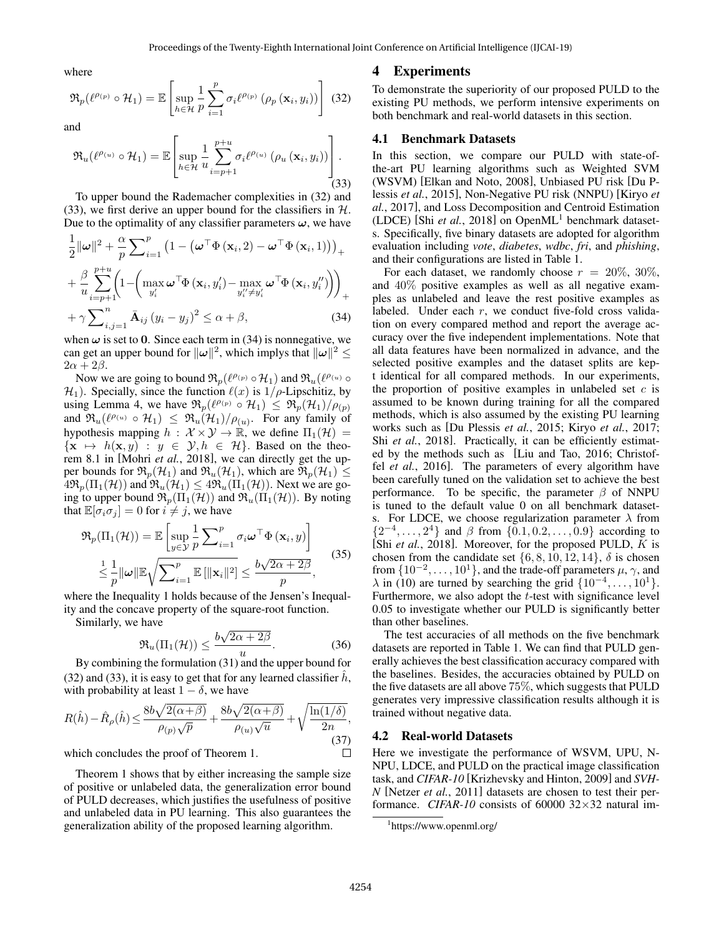where

$$
\mathfrak{R}_{p}(\ell^{\rho_{(p)}} \circ \mathcal{H}_{1}) = \mathbb{E}\left[\sup_{h \in \mathcal{H}} \frac{1}{p} \sum_{i=1}^{p} \sigma_{i} \ell^{\rho_{(p)}}\left(\rho_{p}\left(\mathbf{x}_{i}, y_{i}\right)\right)\right] (32)
$$

and

$$
\mathfrak{R}_{u}(\ell^{\rho_{(u)}} \circ \mathcal{H}_{1}) = \mathbb{E}\left[\sup_{h \in \mathcal{H}} \frac{1}{u} \sum_{i=p+1}^{p+u} \sigma_{i} \ell^{\rho_{(u)}}\left(\rho_{u}\left(\mathbf{x}_{i}, y_{i}\right)\right)\right].
$$
\n(33)

To upper bound the Rademacher complexities in (32) and (33), we first derive an upper bound for the classifiers in  $H$ . Due to the optimality of any classifier parameters  $\omega$ , we have

$$
\frac{1}{2} ||\boldsymbol{\omega}||^{2} + \frac{\alpha}{p} \sum_{i=1}^{p} \left(1 - \left(\boldsymbol{\omega}^{\top} \boldsymbol{\Phi}\left(\mathbf{x}_{i}, 2\right) - \boldsymbol{\omega}^{\top} \boldsymbol{\Phi}\left(\mathbf{x}_{i}, 1\right)\right)\right)_{+}
$$
\n
$$
+ \frac{\beta}{u} \sum_{i=p+1}^{p+u} \left(1 - \left(\max_{y'_{i}} \boldsymbol{\omega}^{\top} \boldsymbol{\Phi}\left(\mathbf{x}_{i}, y'_{i}\right) - \max_{y''_{i} \neq y'_{i}} \boldsymbol{\omega}^{\top} \boldsymbol{\Phi}\left(\mathbf{x}_{i}, y''_{i}\right)\right)\right)_{+}
$$
\n
$$
+ \gamma \sum_{i,j=1}^{n} \bar{\mathbf{A}}_{ij} \left(y_{i} - y_{j}\right)^{2} \leq \alpha + \beta, \tag{34}
$$

when  $\omega$  is set to 0. Since each term in (34) is nonnegative, we can get an upper bound for  $\|\omega\|^2$ , which implys that  $\|\omega\|^2 \leq$  $2\alpha + 2\beta$ .

Now we are going to bound  $\mathfrak{R}_p(\ell^{\rho_{(p)}} \circ \mathcal{H}_1)$  and  $\mathfrak{R}_u(\ell^{\rho_{(u)}} \circ \ell^{\rho_{(u)}})$  $\mathcal{H}_1$ ). Specially, since the function  $\ell(x)$  is  $1/\rho$ -Lipschitiz, by using Lemma 4, we have  $\Re_p(\ell^{\rho_{(p)}} \circ \mathcal{H}_1) \leq \Re_p(\mathcal{H}_1)/\rho_{(p)}$ and  $\Re_u(\ell^{\rho_{(u)}} \circ \mathcal{H}_1) \leq \Re_u(\mathcal{H}_1)/\rho_{(u)}$ . For any family of hypothesis mapping  $h : \mathcal{X} \times \mathcal{Y} \to \mathbb{R}$ , we define  $\Pi_1(\mathcal{H}) =$  $\{x \mapsto h(x, y) : y \in \mathcal{Y}, h \in \mathcal{H}\}.$  Based on the theorem 8.1 in [Mohri *et al.*, 2018], we can directly get the upper bounds for  $\mathfrak{R}_p(\mathcal{H}_1)$  and  $\mathfrak{R}_u(\mathcal{H}_1)$ , which are  $\mathfrak{R}_p(\mathcal{H}_1) \leq$  $4\Re_{p}(\Pi_{1}(\mathcal{H}))$  and  $\Re_{u}(\mathcal{H}_{1}) \leq 4\Re_{u}(\Pi_{1}(\mathcal{H}))$ . Next we are going to upper bound  $\mathfrak{R}_p(\Pi_1(\mathcal{H}))$  and  $\mathfrak{R}_u(\Pi_1(\mathcal{H}))$ . By noting that  $\mathbb{E}[\sigma_i \sigma_j] = 0$  for  $i \neq j$ , we have

$$
\mathfrak{R}_{p}(\Pi_{1}(\mathcal{H})) = \mathbb{E}\left[\sup_{y \in \mathcal{Y}} \frac{1}{p} \sum_{i=1}^{p} \sigma_{i} \omega^{\top} \Phi\left(\mathbf{x}_{i}, y\right)\right]
$$
\n
$$
\leq \frac{1}{p} \|\omega\| \mathbb{E} \sqrt{\sum_{i=1}^{p} \mathbb{E}\left[\|\mathbf{x}_{i}\|^{2}\right]} \leq \frac{b\sqrt{2\alpha + 2\beta}}{p},\tag{35}
$$

where the Inequality 1 holds because of the Jensen's Inequality and the concave property of the square-root function.

Similarly, we have

$$
\mathfrak{R}_u(\Pi_1(\mathcal{H})) \le \frac{b\sqrt{2\alpha + 2\beta}}{u}.\tag{36}
$$

By combining the formulation (31) and the upper bound for (32) and (33), it is easy to get that for any learned classifier  $\hat{h}$ , with probability at least  $1 - \delta$ , we have

$$
R(\hat{h}) - \hat{R}_{\rho}(\hat{h}) \le \frac{8b\sqrt{2(\alpha+\beta)}}{\rho_{(p)}\sqrt{p}} + \frac{8b\sqrt{2(\alpha+\beta)}}{\rho_{(u)}\sqrt{u}} + \sqrt{\frac{\ln(1/\delta)}{2n}},
$$
\n(37)

which concludes the proof of Theorem 1.

Theorem 1 shows that by either increasing the sample size of positive or unlabeled data, the generalization error bound of PULD decreases, which justifies the usefulness of positive and unlabeled data in PU learning. This also guarantees the generalization ability of the proposed learning algorithm.

#### 4 Experiments

To demonstrate the superiority of our proposed PULD to the existing PU methods, we perform intensive experiments on both benchmark and real-world datasets in this section.

#### 4.1 Benchmark Datasets

In this section, we compare our PULD with state-ofthe-art PU learning algorithms such as Weighted SVM (WSVM) [Elkan and Noto, 2008], Unbiased PU risk [Du Plessis *et al.*, 2015], Non-Negative PU risk (NNPU) [Kiryo *et al.*, 2017], and Loss Decomposition and Centroid Estimation (LDCE) [Shi *et al.*, 2018] on Open $ML<sup>1</sup>$  benchmark datasets. Specifically, five binary datasets are adopted for algorithm evaluation including *vote*, *diabetes*, *wdbc*, *fri*, and *phishing*, and their configurations are listed in Table 1.

For each dataset, we randomly choose  $r = 20\%, 30\%,$ and 40% positive examples as well as all negative examples as unlabeled and leave the rest positive examples as labeled. Under each r, we conduct five-fold cross validation on every compared method and report the average accuracy over the five independent implementations. Note that all data features have been normalized in advance, and the selected positive examples and the dataset splits are kept identical for all compared methods. In our experiments, the proportion of positive examples in unlabeled set  $c$  is assumed to be known during training for all the compared methods, which is also assumed by the existing PU learning works such as [Du Plessis *et al.*, 2015; Kiryo *et al.*, 2017; Shi *et al.*, 2018]. Practically, it can be efficiently estimated by the methods such as [Liu and Tao, 2016; Christoffel *et al.*, 2016]. The parameters of every algorithm have been carefully tuned on the validation set to achieve the best performance. To be specific, the parameter  $\beta$  of NNPU is tuned to the default value 0 on all benchmark datasets. For LDCE, we choose regularization parameter  $\lambda$  from  $\{2^{-4}, \ldots, 2^{4}\}$  and  $\beta$  from  $\{0.1, 0.2, \ldots, 0.9\}$  according to [Shi *et al.*, 2018]. Moreover, for the proposed PULD, K is chosen from the candidate set  $\{6, 8, 10, 12, 14\}$ ,  $\delta$  is chosen from  $\{10^{-2}, \ldots, 10^{1}\}$ , and the trade-off parameters  $\mu$ ,  $\gamma$ , and  $\lambda$  in (10) are turned by searching the grid  $\{10^{-4}, \ldots, 10^{1}\}.$ Furthermore, we also adopt the *t*-test with significance level 0.05 to investigate whether our PULD is significantly better than other baselines.

The test accuracies of all methods on the five benchmark datasets are reported in Table 1. We can find that PULD generally achieves the best classification accuracy compared with the baselines. Besides, the accuracies obtained by PULD on the five datasets are all above 75%, which suggests that PULD generates very impressive classification results although it is trained without negative data.

#### 4.2 Real-world Datasets

Here we investigate the performance of WSVM, UPU, N-NPU, LDCE, and PULD on the practical image classification task, and *CIFAR-10* [Krizhevsky and Hinton, 2009] and *SVH-N* [Netzer *et al.*, 2011] datasets are chosen to test their performance. *CIFAR-10* consists of 60000 32×32 natural im-

 $\Box$ 

<sup>1</sup> https://www.openml.org/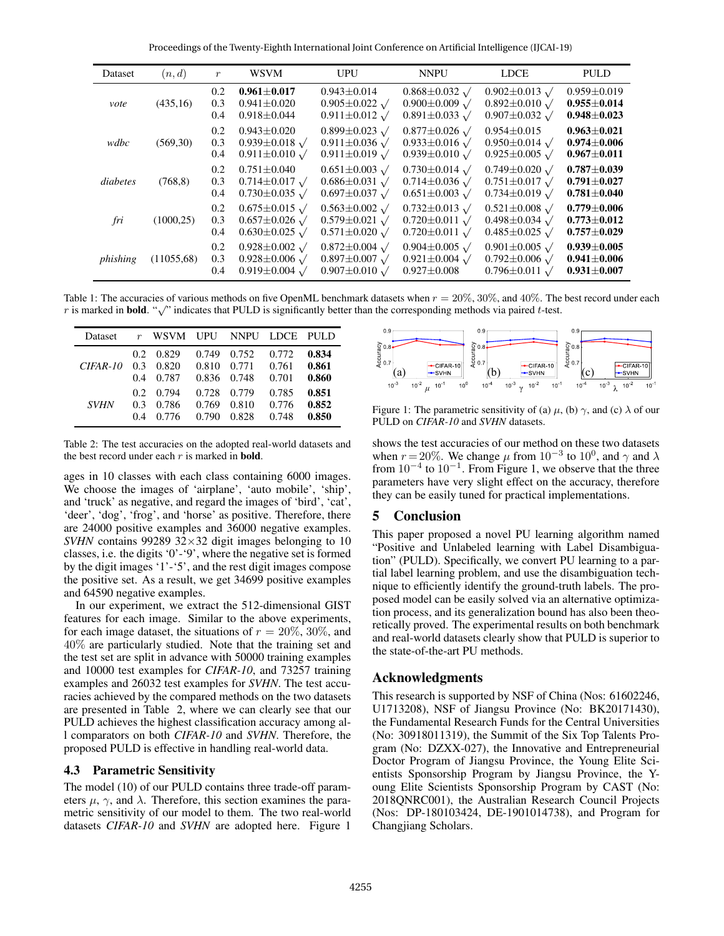Proceedings of the Twenty-Eighth International Joint Conference on Artificial Intelligence (IJCAI-19)

| Dataset  | (n,d)      | $\boldsymbol{r}$  | <b>WSVM</b>                                                                                  | UPU                                                                                        | <b>NNPU</b>                                                                                  | <b>LDCE</b>                                                                                  | <b>PULD</b>                                                 |
|----------|------------|-------------------|----------------------------------------------------------------------------------------------|--------------------------------------------------------------------------------------------|----------------------------------------------------------------------------------------------|----------------------------------------------------------------------------------------------|-------------------------------------------------------------|
| vote     | (435,16)   | 0.2<br>0.3<br>0.4 | $0.961 \pm 0.017$<br>$0.941 \pm 0.020$<br>$0.918 \pm 0.044$                                  | $0.943 \pm 0.014$<br>$0.905 \pm 0.022 \sqrt{ }$<br>$0.911 \pm 0.012$ $\sqrt{ }$            | $0.868 \pm 0.032$ $\sqrt{ }$<br>$0.900 \pm 0.009$ $\sqrt{ }$<br>$0.891 \pm 0.033$ $\sqrt{ }$ | $0.902 \pm 0.013 \sqrt{ }$<br>$0.892 \pm 0.010 \sqrt{ }$<br>$0.907 \pm 0.032$ $\sqrt{ }$     | $0.959 \pm 0.019$<br>$0.955 \pm 0.014$<br>$0.948 \pm 0.023$ |
| wdbc     | (569,30)   | 0.2<br>0.3<br>0.4 | $0.943 \pm 0.020$<br>$0.939 \pm 0.018$ $\sqrt{ }$<br>$0.911 \pm 0.010 \sqrt{ }$              | $0.899 \pm 0.023$ $\sqrt{ }$<br>0.911±0.036 $\sqrt{ }$<br>$0.911 \pm 0.019$ $\sqrt{ }$     | $0.877 \pm 0.026 \sqrt{ }$<br>0.933±0.016 $\sqrt$<br>$0.939 \pm 0.010 \sqrt{ }$              | $0.954 \pm 0.015$<br>$0.950 \pm 0.014 \sqrt{ }$<br>$0.925 \pm 0.005 \sqrt{ }$                | $0.963 + 0.021$<br>$0.974 \pm 0.006$<br>$0.967 \pm 0.011$   |
| diabetes | (768, 8)   | 0.2<br>0.3<br>0.4 | $0.751 \pm 0.040$<br>$0.714 \pm 0.017$ $\sqrt{ }$<br>$0.730 \pm 0.035$ $\sqrt{ }$            | $0.651 \pm 0.003 \sqrt{ }$<br>$0.686 \pm 0.031$ $\sqrt{ }$<br>$0.697 \pm 0.037$ $\sqrt{ }$ | $0.730 \pm 0.014$ $\sqrt{ }$<br>$0.714 \pm 0.036$ $\sqrt{ }$<br>$0.651 \pm 0.003$ $\sqrt{ }$ | $0.749 \pm 0.020 \sqrt{ }$<br>$0.751 \pm 0.017$ $\sqrt{ }$<br>$0.734 \pm 0.019$ $\sqrt{ }$   | $0.787 \pm 0.039$<br>$0.791 \pm 0.027$<br>$0.781 \pm 0.040$ |
| fri      | (1000, 25) | 0.2<br>0.3<br>0.4 | $0.675 \pm 0.015$ $\sqrt{ }$<br>$0.657 \pm 0.026$ $\sqrt{ }$<br>$0.630 \pm 0.025$ $\sqrt{ }$ | $0.563 \pm 0.002 \sqrt{ }$<br>$0.579 \pm 0.021$ $\sqrt{ }$<br>$0.571 \pm 0.020 \sqrt{ }$   | $0.732 \pm 0.013$ $\sqrt{ }$<br>$0.720 \pm 0.011$ $\sqrt{ }$<br>$0.720 \pm 0.011$ $\sqrt{ }$ | $0.521 \pm 0.008$ $\sqrt{ }$<br>$0.498 \pm 0.034$ $\sqrt{ }$<br>$0.485 \pm 0.025$ $\sqrt{ }$ | $0.779 \pm 0.006$<br>$0.773 \pm 0.012$<br>$0.757 \pm 0.029$ |
| phishing | (11055,68) | 0.2<br>0.3<br>0.4 | $0.928 \pm 0.002 \sqrt{ }$<br>$0.928 \pm 0.006 \sqrt{ }$<br>0.919 $\pm$ 0.004 $\sqrt$        | $0.872 \pm 0.004 \sqrt{ }$<br>$0.897 \pm 0.007 \sqrt{ }$<br>$0.907 \pm 0.010 \sqrt{ }$     | $0.904 \pm 0.005$ $\sqrt{ }$<br>$0.921 \pm 0.004$ $\sqrt{ }$<br>$0.927 \pm 0.008$            | $0.901 \pm 0.005$ $\sqrt{ }$<br>$0.792 \pm 0.006$ $\sqrt{ }$<br>$0.796 \pm 0.011$ $\sqrt{ }$ | $0.939\pm0.005$<br>$0.941 \pm 0.006$<br>$0.931 \pm 0.007$   |

Table 1: The accuracies of various methods on five OpenML benchmark datasets when  $r = 20\%$ , 30%, and 40%. The best record under each The resolution of the accuracies of various methods on live OpenNL benchmark datasets when  $r = 20\%$ , 30%, and 40%. The r is marked in **bold.** " $\sqrt{ }$ " indicates that PULD is significantly better than the corresponding me

| Dataset     |                                | r WSVM UPU NNPU LDCE PULD |                         |                         |                         |                         |
|-------------|--------------------------------|---------------------------|-------------------------|-------------------------|-------------------------|-------------------------|
| $CIFAR-10$  | $0.2^{\circ}$<br>0.3<br>0.4    | 0.829<br>0.820<br>0.787   | 0.810<br>0.836 0.748    | 0.749 0.752<br>0.771    | 0.772<br>0.761<br>0.701 | 0.834<br>0.861<br>0.860 |
| <b>SVHN</b> | 0.2 <sub>1</sub><br>0.3<br>0.4 | 0.794<br>0.786<br>0.776   | 0.728<br>0.769<br>0.790 | 0.779<br>0.810<br>0.828 | 0.785<br>0.776<br>0.748 | 0.851<br>0.852<br>0.850 |

Table 2: The test accuracies on the adopted real-world datasets and the best record under each  $r$  is marked in **bold**.

ages in 10 classes with each class containing 6000 images. We choose the images of 'airplane', 'auto mobile', 'ship', and 'truck' as negative, and regard the images of 'bird', 'cat', 'deer', 'dog', 'frog', and 'horse' as positive. Therefore, there are 24000 positive examples and 36000 negative examples. *SVHN* contains 99289 32×32 digit images belonging to 10 classes, i.e. the digits '0'-'9', where the negative set is formed by the digit images '1'-'5', and the rest digit images compose the positive set. As a result, we get 34699 positive examples and 64590 negative examples.

In our experiment, we extract the 512-dimensional GIST features for each image. Similar to the above experiments, for each image dataset, the situations of  $r = 20\%, 30\%,$  and 40% are particularly studied. Note that the training set and the test set are split in advance with 50000 training examples and 10000 test examples for *CIFAR-10*, and 73257 training examples and 26032 test examples for *SVHN*. The test accuracies achieved by the compared methods on the two datasets are presented in Table 2, where we can clearly see that our PULD achieves the highest classification accuracy among all comparators on both *CIFAR-10* and *SVHN*. Therefore, the proposed PULD is effective in handling real-world data.

## 4.3 Parametric Sensitivity

The model (10) of our PULD contains three trade-off parameters  $\mu$ ,  $\gamma$ , and  $\lambda$ . Therefore, this section examines the parametric sensitivity of our model to them. The two real-world datasets *CIFAR-10* and *SVHN* are adopted here. Figure 1



Figure 1: The parametric sensitivity of (a)  $\mu$ , (b)  $\gamma$ , and (c)  $\lambda$  of our PULD on *CIFAR-10* and *SVHN* datasets.

shows the test accuracies of our method on these two datasets when  $r = 20\%$ . We change  $\mu$  from  $10^{-3}$  to  $10^0$ , and  $\gamma$  and  $\lambda$ from  $10^{-4}$  to  $10^{-1}$ . From Figure 1, we observe that the three parameters have very slight effect on the accuracy, therefore they can be easily tuned for practical implementations.

# 5 Conclusion

This paper proposed a novel PU learning algorithm named "Positive and Unlabeled learning with Label Disambiguation" (PULD). Specifically, we convert PU learning to a partial label learning problem, and use the disambiguation technique to efficiently identify the ground-truth labels. The proposed model can be easily solved via an alternative optimization process, and its generalization bound has also been theoretically proved. The experimental results on both benchmark and real-world datasets clearly show that PULD is superior to the state-of-the-art PU methods.

# Acknowledgments

This research is supported by NSF of China (Nos: 61602246, U1713208), NSF of Jiangsu Province (No: BK20171430), the Fundamental Research Funds for the Central Universities (No: 30918011319), the Summit of the Six Top Talents Program (No: DZXX-027), the Innovative and Entrepreneurial Doctor Program of Jiangsu Province, the Young Elite Scientists Sponsorship Program by Jiangsu Province, the Young Elite Scientists Sponsorship Program by CAST (No: 2018QNRC001), the Australian Research Council Projects (Nos: DP-180103424, DE-1901014738), and Program for Changjiang Scholars.